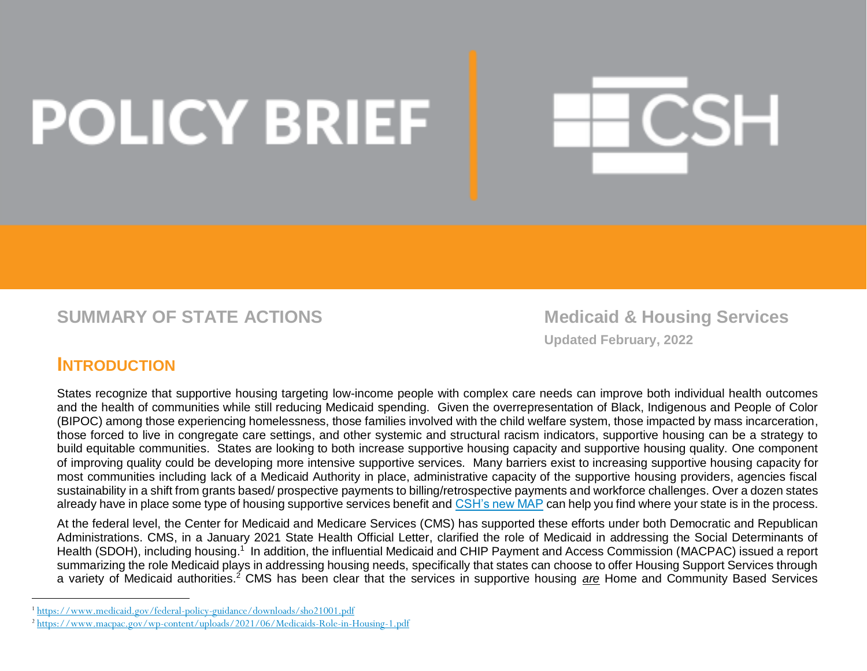# **POLICY BRIEF**

**SUMMARY OF STATE ACTIONS SUMMARY OF STATE ACTIONS** 

**Updated February, 2022**

CSH

## **INTRODUCTION**

1

States recognize that supportive housing targeting low-income people with complex care needs can improve both individual health outcomes and the health of communities while still reducing Medicaid spending. Given the overrepresentation of Black, Indigenous and People of Color (BIPOC) among those experiencing homelessness, those families involved with the child welfare system, those impacted by mass incarceration, those forced to live in congregate care settings, and other systemic and structural racism indicators, supportive housing can be a strategy to build equitable communities. States are looking to both increase supportive housing capacity and supportive housing quality. One component of improving quality could be developing more intensive supportive services. Many barriers exist to increasing supportive housing capacity for most communities including lack of a Medicaid Authority in place, administrative capacity of the supportive housing providers, agencies fiscal sustainability in a shift from grants based/ prospective payments to billing/retrospective payments and workforce challenges. Over a dozen states already have in place some type of housing supportive services benefit and [CSH's new MAP](https://csh-admin.carto.com/builder/5fb538f0-9370-4650-84f6-de18188ba1d9/embed) can help you find where your state is in the process.

At the federal level, the Center for Medicaid and Medicare Services (CMS) has supported these efforts under both Democratic and Republican Administrations. CMS, in a January 2021 State Health Official Letter, clarified the role of Medicaid in addressing the Social Determinants of Health (SDOH), including housing.<sup>1</sup> In addition, the influential Medicaid and CHIP Payment and Access Commission (MACPAC) issued a report summarizing the role Medicaid plays in addressing housing needs, specifically that states can choose to offer Housing Support Services through a variety of Medicaid authorities.<sup>2</sup> CMS has been clear that the services in supportive housing *are* Home and Community Based Services

<sup>1</sup> <https://www.medicaid.gov/federal-policy-guidance/downloads/sho21001.pdf>

<sup>2</sup> <https://www.macpac.gov/wp-content/uploads/2021/06/Medicaids-Role-in-Housing-1.pdf>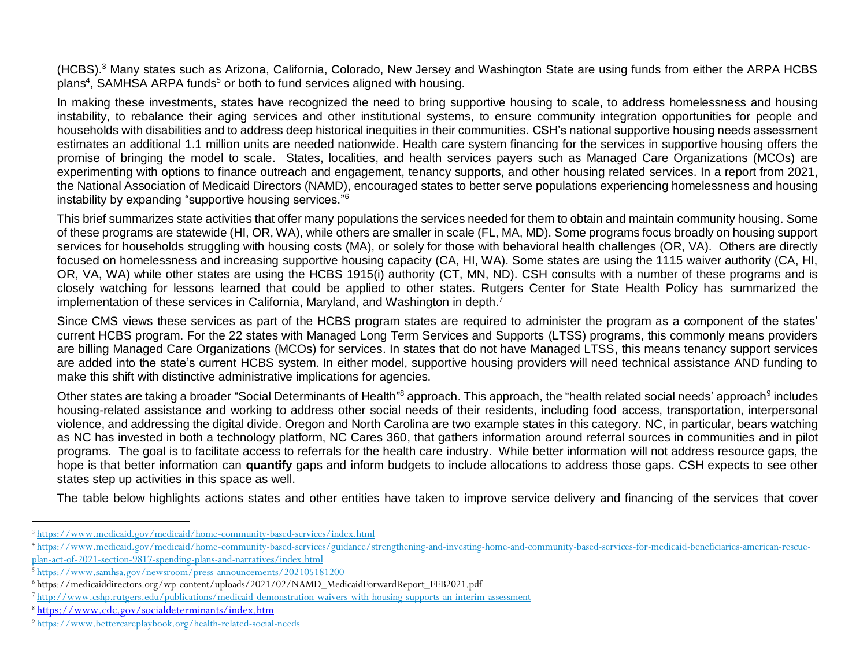(HCBS). <sup>3</sup> Many states such as Arizona, California, Colorado, New Jersey and Washington State are using funds from either the ARPA HCBS plans<sup>4</sup>, SAMHSA ARPA funds<sup>5</sup> or both to fund services aligned with housing.

In making these investments, states have recognized the need to bring supportive housing to scale, to address homelessness and housing instability, to rebalance their aging services and other institutional systems, to ensure community integration opportunities for people and households with disabilities and to address deep historical inequities in their communities. CSH's national supportive housing needs assessment estimates an additional 1.1 million units are needed nationwide. Health care system financing for the services in supportive housing offers the promise of bringing the model to scale. States, localities, and health services payers such as Managed Care Organizations (MCOs) are experimenting with options to finance outreach and engagement, tenancy supports, and other housing related services. In a report from 2021, the National Association of Medicaid Directors (NAMD), encouraged states to better serve populations experiencing homelessness and housing instability by expanding "supportive housing services."<sup>6</sup>

This brief summarizes state activities that offer many populations the services needed for them to obtain and maintain community housing. Some of these programs are statewide (HI, OR, WA), while others are smaller in scale (FL, MA, MD). Some programs focus broadly on housing support services for households struggling with housing costs (MA), or solely for those with behavioral health challenges (OR, VA). Others are directly focused on homelessness and increasing supportive housing capacity (CA, HI, WA). Some states are using the 1115 waiver authority (CA, HI, OR, VA, WA) while other states are using the HCBS 1915(i) authority (CT, MN, ND). CSH consults with a number of these programs and is closely watching for lessons learned that could be applied to other states. Rutgers Center for State Health Policy has summarized the implementation of these services in California, Maryland, and Washington in depth.<sup>7</sup>

Since CMS views these services as part of the HCBS program states are required to administer the program as a component of the states' current HCBS program. For the 22 states with Managed Long Term Services and Supports (LTSS) programs, this commonly means providers are billing Managed Care Organizations (MCOs) for services. In states that do not have Managed LTSS, this means tenancy support services are added into the state's current HCBS system. In either model, supportive housing providers will need technical assistance AND funding to make this shift with distinctive administrative implications for agencies.

Other states are taking a broader "Social Determinants of Health"<sup>8</sup> approach. This approach, the "health related social needs' approach<sup>9</sup> includes housing-related assistance and working to address other social needs of their residents, including food access, transportation, interpersonal violence, and addressing the digital divide. Oregon and North Carolina are two example states in this category. NC, in particular, bears watching as NC has invested in both a technology platform, NC Cares 360, that gathers information around referral sources in communities and in pilot programs. The goal is to facilitate access to referrals for the health care industry. While better information will not address resource gaps, the hope is that better information can **quantify** gaps and inform budgets to include allocations to address those gaps. CSH expects to see other states step up activities in this space as well.

The table below highlights actions states and other entities have taken to improve service delivery and financing of the services that cover

1

<sup>3</sup> <https://www.medicaid.gov/medicaid/home-community-based-services/index.html>

<sup>4</sup> [https://www.medicaid.gov/medicaid/home-community-based-services/guidance/strengthening-and-investing-home-and-community-based-services-for-medicaid-beneficiaries-american-rescue-](https://www.medicaid.gov/medicaid/home-community-based-services/guidance/strengthening-and-investing-home-and-community-based-services-for-medicaid-beneficiaries-american-rescue-plan-act-of-2021-section-9817-spending-plans-and-narratives/index.html)

[plan-act-of-2021-section-9817-spending-plans-and-narratives/index.html](https://www.medicaid.gov/medicaid/home-community-based-services/guidance/strengthening-and-investing-home-and-community-based-services-for-medicaid-beneficiaries-american-rescue-plan-act-of-2021-section-9817-spending-plans-and-narratives/index.html)

<sup>5</sup> <https://www.samhsa.gov/newsroom/press-announcements/202105181200>

<sup>6</sup> https://medicaiddirectors.org/wp-content/uploads/2021/02/NAMD\_MedicaidForwardReport\_FEB2021.pdf

<sup>7</sup> <http://www.cshp.rutgers.edu/publications/medicaid-demonstration-waivers-with-housing-supports-an-interim-assessment>

<sup>8</sup> <https://www.cdc.gov/socialdeterminants/index.htm>

<sup>9</sup> <https://www.bettercareplaybook.org/health-related-social-needs>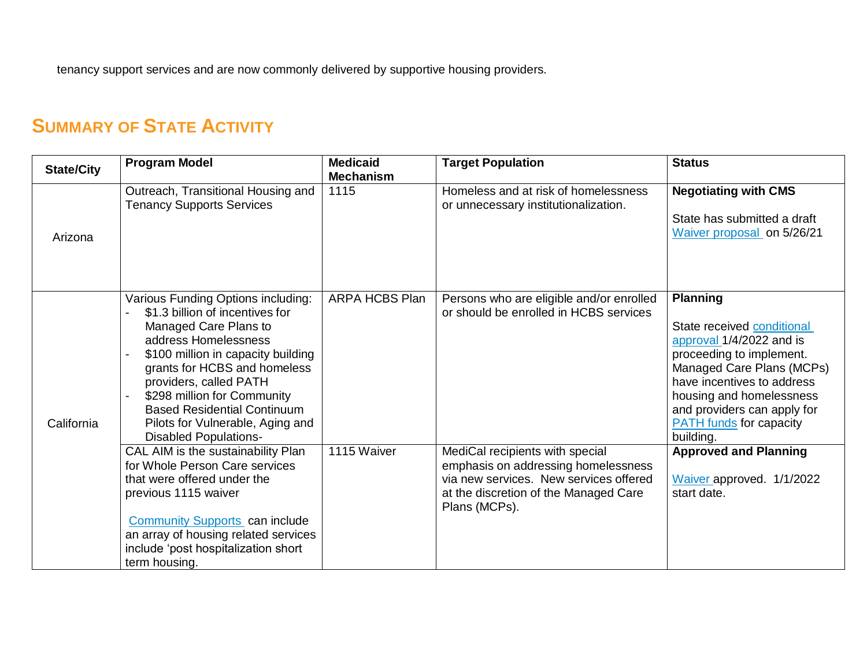tenancy support services and are now commonly delivered by supportive housing providers.

## **SUMMARY OF STATE ACTIVITY**

| <b>State/City</b> | <b>Program Model</b>                                                                                                                                                                                                                                                                                                                                            | <b>Medicaid</b><br><b>Mechanism</b> | <b>Target Population</b>                                                                                                                                                   | <b>Status</b>                                                                                                                                                                                                                                                              |
|-------------------|-----------------------------------------------------------------------------------------------------------------------------------------------------------------------------------------------------------------------------------------------------------------------------------------------------------------------------------------------------------------|-------------------------------------|----------------------------------------------------------------------------------------------------------------------------------------------------------------------------|----------------------------------------------------------------------------------------------------------------------------------------------------------------------------------------------------------------------------------------------------------------------------|
| Arizona           | Outreach, Transitional Housing and<br><b>Tenancy Supports Services</b>                                                                                                                                                                                                                                                                                          | 1115                                | Homeless and at risk of homelessness<br>or unnecessary institutionalization.                                                                                               | <b>Negotiating with CMS</b><br>State has submitted a draft<br>Waiver proposal on 5/26/21                                                                                                                                                                                   |
| California        | Various Funding Options including:<br>\$1.3 billion of incentives for<br>Managed Care Plans to<br>address Homelessness<br>\$100 million in capacity building<br>grants for HCBS and homeless<br>providers, called PATH<br>\$298 million for Community<br><b>Based Residential Continuum</b><br>Pilots for Vulnerable, Aging and<br><b>Disabled Populations-</b> | ARPA HCBS Plan                      | Persons who are eligible and/or enrolled<br>or should be enrolled in HCBS services                                                                                         | <b>Planning</b><br>State received conditional<br>approval 1/4/2022 and is<br>proceeding to implement.<br>Managed Care Plans (MCPs)<br>have incentives to address<br>housing and homelessness<br>and providers can apply for<br><b>PATH</b> funds for capacity<br>building. |
|                   | CAL AIM is the sustainability Plan<br>for Whole Person Care services<br>that were offered under the<br>previous 1115 waiver<br>Community Supports can include<br>an array of housing related services<br>include 'post hospitalization short<br>term housing.                                                                                                   | 1115 Waiver                         | MediCal recipients with special<br>emphasis on addressing homelessness<br>via new services. New services offered<br>at the discretion of the Managed Care<br>Plans (MCPs). | <b>Approved and Planning</b><br>Waiver approved. 1/1/2022<br>start date.                                                                                                                                                                                                   |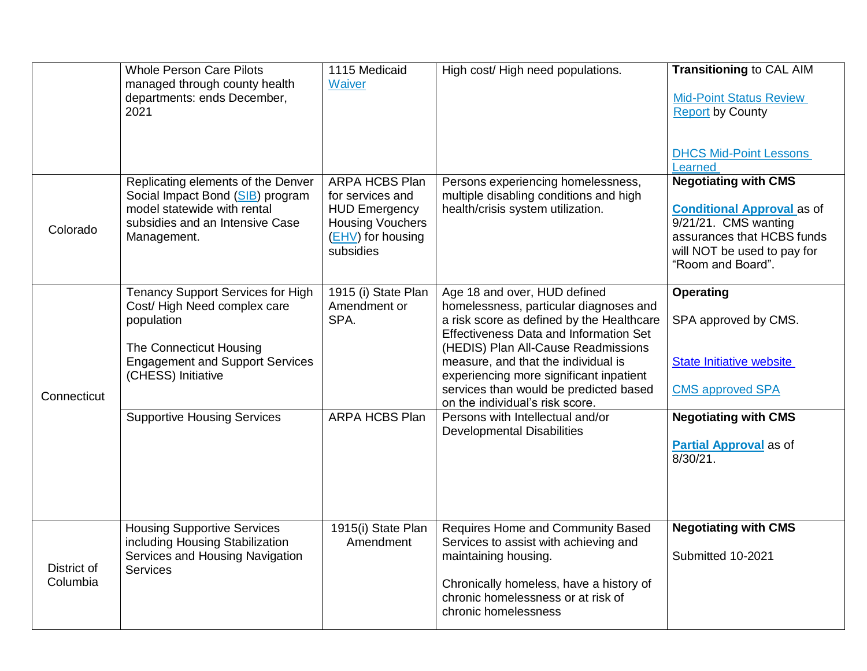|                         | <b>Whole Person Care Pilots</b>                                                                                                                                                  | 1115 Medicaid                                                                                                           | High cost/High need populations.                                                                                                                                                                                                                                                                                                                                    | <b>Transitioning to CAL AIM</b>                                                                                                                                            |
|-------------------------|----------------------------------------------------------------------------------------------------------------------------------------------------------------------------------|-------------------------------------------------------------------------------------------------------------------------|---------------------------------------------------------------------------------------------------------------------------------------------------------------------------------------------------------------------------------------------------------------------------------------------------------------------------------------------------------------------|----------------------------------------------------------------------------------------------------------------------------------------------------------------------------|
|                         | managed through county health<br>departments: ends December,<br>2021                                                                                                             | Waiver                                                                                                                  |                                                                                                                                                                                                                                                                                                                                                                     | <b>Mid-Point Status Review</b><br><b>Report by County</b>                                                                                                                  |
|                         |                                                                                                                                                                                  |                                                                                                                         |                                                                                                                                                                                                                                                                                                                                                                     | <b>DHCS Mid-Point Lessons</b><br>Learned                                                                                                                                   |
| Colorado                | Replicating elements of the Denver<br>Social Impact Bond (SIB) program<br>model statewide with rental<br>subsidies and an Intensive Case<br>Management.                          | ARPA HCBS Plan<br>for services and<br><b>HUD Emergency</b><br><b>Housing Vouchers</b><br>(EHV) for housing<br>subsidies | Persons experiencing homelessness,<br>multiple disabling conditions and high<br>health/crisis system utilization.                                                                                                                                                                                                                                                   | <b>Negotiating with CMS</b><br><b>Conditional Approval as of</b><br>9/21/21. CMS wanting<br>assurances that HCBS funds<br>will NOT be used to pay for<br>"Room and Board". |
| Connecticut             | <b>Tenancy Support Services for High</b><br>Cost/High Need complex care<br>population<br>The Connecticut Housing<br><b>Engagement and Support Services</b><br>(CHESS) Initiative | 1915 (i) State Plan<br>Amendment or<br>SPA.                                                                             | Age 18 and over, HUD defined<br>homelessness, particular diagnoses and<br>a risk score as defined by the Healthcare<br>Effectiveness Data and Information Set<br>(HEDIS) Plan All-Cause Readmissions<br>measure, and that the individual is<br>experiencing more significant inpatient<br>services than would be predicted based<br>on the individual's risk score. | <b>Operating</b><br>SPA approved by CMS.<br><b>State Initiative website</b><br><b>CMS approved SPA</b>                                                                     |
|                         | <b>Supportive Housing Services</b>                                                                                                                                               | <b>ARPA HCBS Plan</b>                                                                                                   | Persons with Intellectual and/or<br><b>Developmental Disabilities</b>                                                                                                                                                                                                                                                                                               | <b>Negotiating with CMS</b><br><b>Partial Approval</b> as of<br>$8/30/21$ .                                                                                                |
| District of<br>Columbia | <b>Housing Supportive Services</b><br>including Housing Stabilization<br>Services and Housing Navigation<br><b>Services</b>                                                      | 1915(i) State Plan<br>Amendment                                                                                         | Requires Home and Community Based<br>Services to assist with achieving and<br>maintaining housing.<br>Chronically homeless, have a history of<br>chronic homelessness or at risk of<br>chronic homelessness                                                                                                                                                         | <b>Negotiating with CMS</b><br>Submitted 10-2021                                                                                                                           |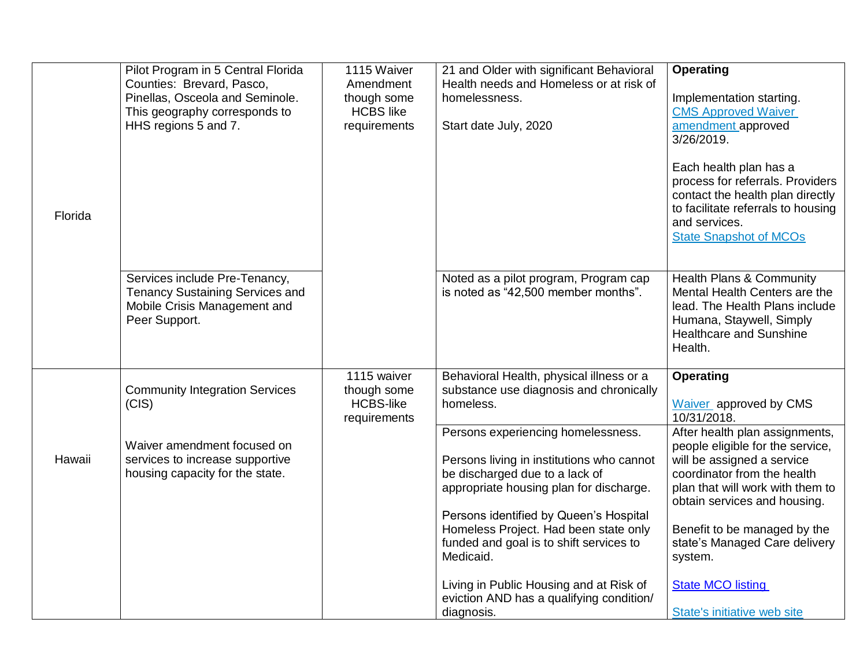| Florida | Pilot Program in 5 Central Florida<br>Counties: Brevard, Pasco,<br>Pinellas, Osceola and Seminole.<br>This geography corresponds to<br>HHS regions 5 and 7. | 1115 Waiver<br>Amendment<br>though some<br><b>HCBS</b> like<br>requirements | 21 and Older with significant Behavioral<br>Health needs and Homeless or at risk of<br>homelessness.<br>Start date July, 2020                                                                                                                                                                                             | <b>Operating</b><br>Implementation starting.<br><b>CMS Approved Waiver</b><br>amendment approved<br>3/26/2019.<br>Each health plan has a<br>process for referrals. Providers<br>contact the health plan directly<br>to facilitate referrals to housing<br>and services.<br><b>State Snapshot of MCOs</b> |
|---------|-------------------------------------------------------------------------------------------------------------------------------------------------------------|-----------------------------------------------------------------------------|---------------------------------------------------------------------------------------------------------------------------------------------------------------------------------------------------------------------------------------------------------------------------------------------------------------------------|----------------------------------------------------------------------------------------------------------------------------------------------------------------------------------------------------------------------------------------------------------------------------------------------------------|
|         | Services include Pre-Tenancy,<br><b>Tenancy Sustaining Services and</b><br>Mobile Crisis Management and<br>Peer Support.                                    |                                                                             | Noted as a pilot program, Program cap<br>is noted as "42,500 member months".                                                                                                                                                                                                                                              | <b>Health Plans &amp; Community</b><br>Mental Health Centers are the<br>lead. The Health Plans include<br>Humana, Staywell, Simply<br><b>Healthcare and Sunshine</b><br>Health.                                                                                                                          |
| Hawaii  | <b>Community Integration Services</b><br>(CIS)<br>Waiver amendment focused on<br>services to increase supportive                                            | 1115 waiver<br>though some<br><b>HCBS-like</b><br>requirements              | Behavioral Health, physical illness or a<br>substance use diagnosis and chronically<br>homeless.<br>Persons experiencing homelessness.<br>Persons living in institutions who cannot                                                                                                                                       | <b>Operating</b><br>Waiver approved by CMS<br>10/31/2018.<br>After health plan assignments,<br>people eligible for the service,<br>will be assigned a service                                                                                                                                            |
|         | housing capacity for the state.                                                                                                                             |                                                                             | be discharged due to a lack of<br>appropriate housing plan for discharge.<br>Persons identified by Queen's Hospital<br>Homeless Project. Had been state only<br>funded and goal is to shift services to<br>Medicaid.<br>Living in Public Housing and at Risk of<br>eviction AND has a qualifying condition/<br>diagnosis. | coordinator from the health<br>plan that will work with them to<br>obtain services and housing.<br>Benefit to be managed by the<br>state's Managed Care delivery<br>system.<br><b>State MCO listing</b><br>State's initiative web site                                                                   |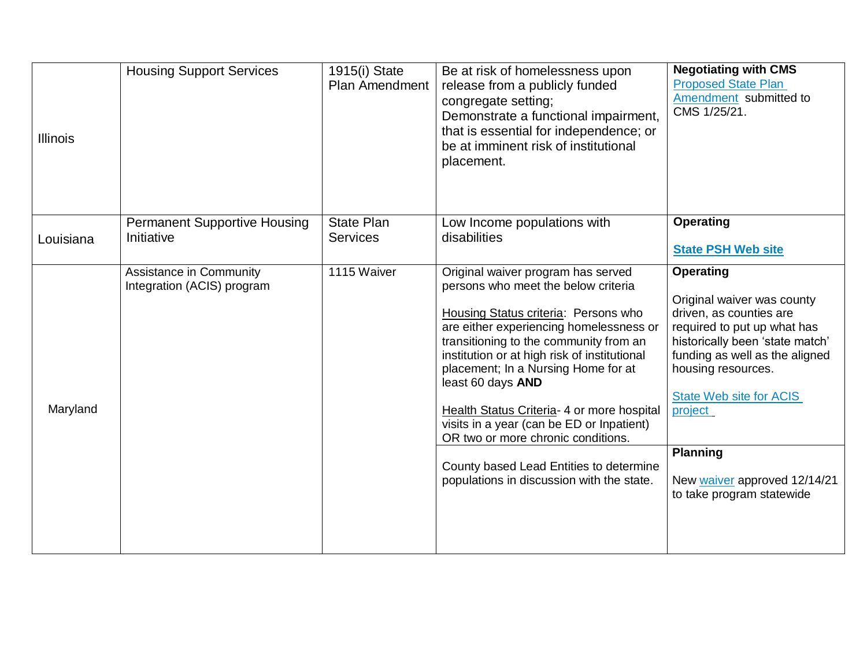| <b>Illinois</b> | <b>Housing Support Services</b>                       | 1915(i) State<br><b>Plan Amendment</b> | Be at risk of homelessness upon<br>release from a publicly funded<br>congregate setting;<br>Demonstrate a functional impairment,<br>that is essential for independence; or<br>be at imminent risk of institutional<br>placement.                                                                                                                                                                                                                                                                                                            | <b>Negotiating with CMS</b><br><b>Proposed State Plan</b><br>Amendment submitted to<br>CMS 1/25/21.                                                                                                                                                                                                                       |
|-----------------|-------------------------------------------------------|----------------------------------------|---------------------------------------------------------------------------------------------------------------------------------------------------------------------------------------------------------------------------------------------------------------------------------------------------------------------------------------------------------------------------------------------------------------------------------------------------------------------------------------------------------------------------------------------|---------------------------------------------------------------------------------------------------------------------------------------------------------------------------------------------------------------------------------------------------------------------------------------------------------------------------|
| Louisiana       | <b>Permanent Supportive Housing</b><br>Initiative     | <b>State Plan</b><br><b>Services</b>   | Low Income populations with<br>disabilities                                                                                                                                                                                                                                                                                                                                                                                                                                                                                                 | <b>Operating</b><br><b>State PSH Web site</b>                                                                                                                                                                                                                                                                             |
| Maryland        | Assistance in Community<br>Integration (ACIS) program | 1115 Waiver                            | Original waiver program has served<br>persons who meet the below criteria<br>Housing Status criteria: Persons who<br>are either experiencing homelessness or<br>transitioning to the community from an<br>institution or at high risk of institutional<br>placement; In a Nursing Home for at<br>least 60 days AND<br>Health Status Criteria- 4 or more hospital<br>visits in a year (can be ED or Inpatient)<br>OR two or more chronic conditions.<br>County based Lead Entities to determine<br>populations in discussion with the state. | <b>Operating</b><br>Original waiver was county<br>driven, as counties are<br>required to put up what has<br>historically been 'state match'<br>funding as well as the aligned<br>housing resources.<br>State Web site for ACIS<br>project<br><b>Planning</b><br>New waiver approved 12/14/21<br>to take program statewide |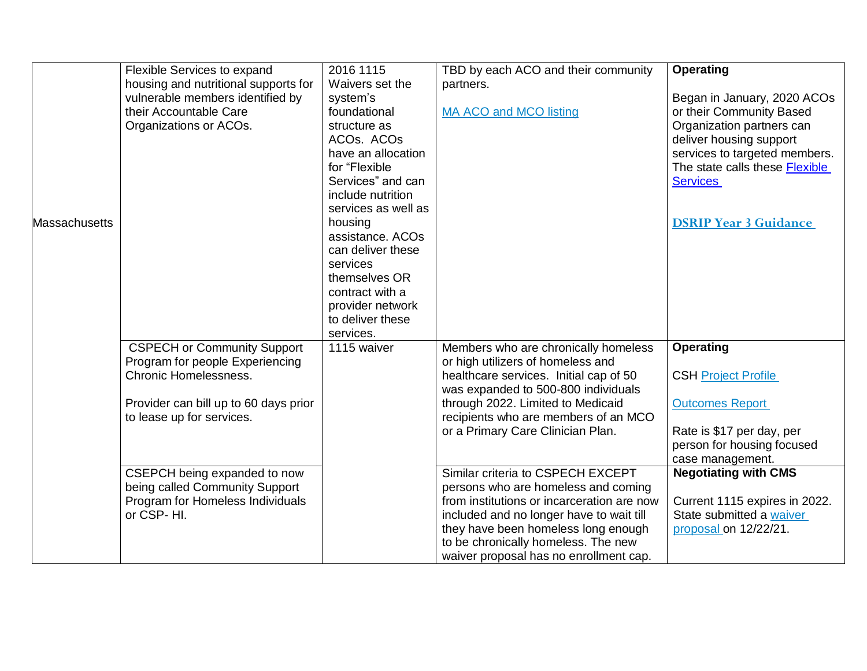|               | Flexible Services to expand           | 2016 1115           | TBD by each ACO and their community        | <b>Operating</b>               |
|---------------|---------------------------------------|---------------------|--------------------------------------------|--------------------------------|
|               | housing and nutritional supports for  | Waivers set the     | partners.                                  |                                |
|               | vulnerable members identified by      | system's            |                                            | Began in January, 2020 ACOs    |
|               | their Accountable Care                | foundational        | MA ACO and MCO listing                     | or their Community Based       |
|               | Organizations or ACOs.                | structure as        |                                            | Organization partners can      |
|               |                                       | ACOs. ACOs          |                                            | deliver housing support        |
|               |                                       | have an allocation  |                                            | services to targeted members.  |
|               |                                       | for "Flexible       |                                            | The state calls these Flexible |
|               |                                       | Services" and can   |                                            | <b>Services</b>                |
|               |                                       | include nutrition   |                                            |                                |
|               |                                       | services as well as |                                            |                                |
| Massachusetts |                                       | housing             |                                            | <b>DSRIP Year 3 Guidance</b>   |
|               |                                       | assistance. ACOs    |                                            |                                |
|               |                                       | can deliver these   |                                            |                                |
|               |                                       | services            |                                            |                                |
|               |                                       | themselves OR       |                                            |                                |
|               |                                       | contract with a     |                                            |                                |
|               |                                       | provider network    |                                            |                                |
|               |                                       | to deliver these    |                                            |                                |
|               |                                       | services.           |                                            |                                |
|               | <b>CSPECH or Community Support</b>    | 1115 waiver         | Members who are chronically homeless       | <b>Operating</b>               |
|               | Program for people Experiencing       |                     | or high utilizers of homeless and          |                                |
|               | <b>Chronic Homelessness.</b>          |                     | healthcare services. Initial cap of 50     | <b>CSH Project Profile</b>     |
|               |                                       |                     | was expanded to 500-800 individuals        |                                |
|               | Provider can bill up to 60 days prior |                     | through 2022. Limited to Medicaid          | <b>Outcomes Report</b>         |
|               | to lease up for services.             |                     | recipients who are members of an MCO       |                                |
|               |                                       |                     | or a Primary Care Clinician Plan.          | Rate is \$17 per day, per      |
|               |                                       |                     |                                            | person for housing focused     |
|               |                                       |                     |                                            | case management.               |
|               | CSEPCH being expanded to now          |                     | Similar criteria to CSPECH EXCEPT          | <b>Negotiating with CMS</b>    |
|               | being called Community Support        |                     | persons who are homeless and coming        |                                |
|               | Program for Homeless Individuals      |                     | from institutions or incarceration are now | Current 1115 expires in 2022.  |
|               | or CSP-HI.                            |                     | included and no longer have to wait till   | State submitted a waiver       |
|               |                                       |                     | they have been homeless long enough        | proposal on 12/22/21.          |
|               |                                       |                     | to be chronically homeless. The new        |                                |
|               |                                       |                     | waiver proposal has no enrollment cap.     |                                |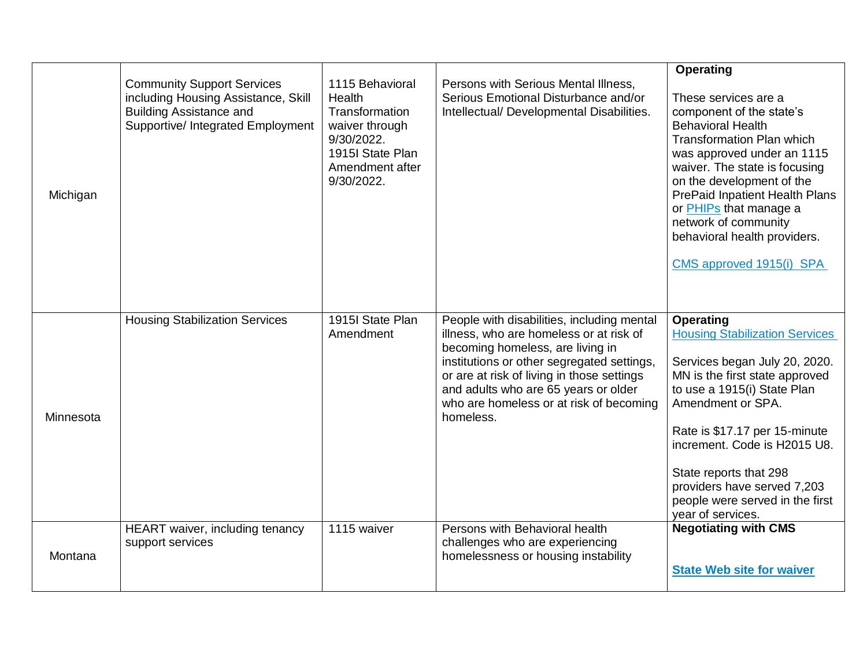| Michigan  | <b>Community Support Services</b><br>including Housing Assistance, Skill<br><b>Building Assistance and</b><br>Supportive/ Integrated Employment | 1115 Behavioral<br>Health<br>Transformation<br>waiver through<br>9/30/2022.<br>1915I State Plan<br>Amendment after<br>9/30/2022. | Persons with Serious Mental Illness,<br>Serious Emotional Disturbance and/or<br>Intellectual/ Developmental Disabilities.                                                                                                                                                                                             | <b>Operating</b><br>These services are a<br>component of the state's<br><b>Behavioral Health</b><br><b>Transformation Plan which</b><br>was approved under an 1115<br>waiver. The state is focusing<br>on the development of the<br><b>PrePaid Inpatient Health Plans</b><br>or PHIPs that manage a<br>network of community<br>behavioral health providers.<br>CMS approved 1915(i) SPA |
|-----------|-------------------------------------------------------------------------------------------------------------------------------------------------|----------------------------------------------------------------------------------------------------------------------------------|-----------------------------------------------------------------------------------------------------------------------------------------------------------------------------------------------------------------------------------------------------------------------------------------------------------------------|-----------------------------------------------------------------------------------------------------------------------------------------------------------------------------------------------------------------------------------------------------------------------------------------------------------------------------------------------------------------------------------------|
| Minnesota | <b>Housing Stabilization Services</b>                                                                                                           | 1915I State Plan<br>Amendment                                                                                                    | People with disabilities, including mental<br>illness, who are homeless or at risk of<br>becoming homeless, are living in<br>institutions or other segregated settings,<br>or are at risk of living in those settings<br>and adults who are 65 years or older<br>who are homeless or at risk of becoming<br>homeless. | <b>Operating</b><br><b>Housing Stabilization Services</b><br>Services began July 20, 2020.<br>MN is the first state approved<br>to use a 1915(i) State Plan<br>Amendment or SPA.<br>Rate is \$17.17 per 15-minute<br>increment. Code is H2015 U8.<br>State reports that 298<br>providers have served 7,203<br>people were served in the first<br>year of services.                      |
| Montana   | HEART waiver, including tenancy<br>support services                                                                                             | 1115 waiver                                                                                                                      | Persons with Behavioral health<br>challenges who are experiencing<br>homelessness or housing instability                                                                                                                                                                                                              | <b>Negotiating with CMS</b><br><b>State Web site for waiver</b>                                                                                                                                                                                                                                                                                                                         |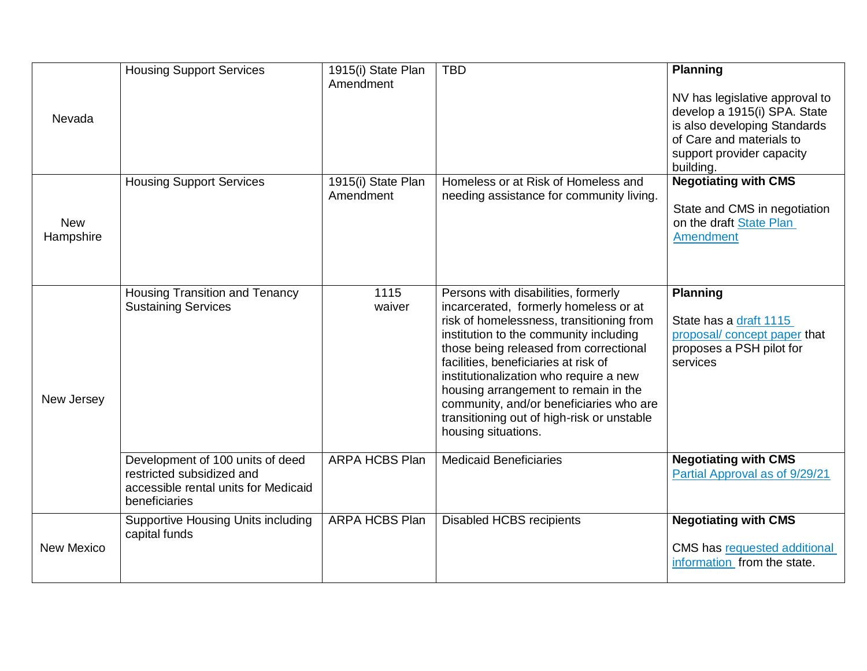| Nevada                  | <b>Housing Support Services</b>                                                                                        | 1915(i) State Plan<br>Amendment | <b>TBD</b>                                                                                                                                                                                                                                                                                                                                                                                                                                             | <b>Planning</b><br>NV has legislative approval to<br>develop a 1915(i) SPA. State<br>is also developing Standards<br>of Care and materials to<br>support provider capacity<br>building. |
|-------------------------|------------------------------------------------------------------------------------------------------------------------|---------------------------------|--------------------------------------------------------------------------------------------------------------------------------------------------------------------------------------------------------------------------------------------------------------------------------------------------------------------------------------------------------------------------------------------------------------------------------------------------------|-----------------------------------------------------------------------------------------------------------------------------------------------------------------------------------------|
| <b>New</b><br>Hampshire | <b>Housing Support Services</b>                                                                                        | 1915(i) State Plan<br>Amendment | Homeless or at Risk of Homeless and<br>needing assistance for community living.                                                                                                                                                                                                                                                                                                                                                                        | <b>Negotiating with CMS</b><br>State and CMS in negotiation<br>on the draft State Plan<br><b>Amendment</b>                                                                              |
| New Jersey              | <b>Housing Transition and Tenancy</b><br><b>Sustaining Services</b>                                                    | 1115<br>waiver                  | Persons with disabilities, formerly<br>incarcerated, formerly homeless or at<br>risk of homelessness, transitioning from<br>institution to the community including<br>those being released from correctional<br>facilities, beneficiaries at risk of<br>institutionalization who require a new<br>housing arrangement to remain in the<br>community, and/or beneficiaries who are<br>transitioning out of high-risk or unstable<br>housing situations. | <b>Planning</b><br>State has a draft 1115<br>proposal/ concept paper that<br>proposes a PSH pilot for<br>services                                                                       |
|                         | Development of 100 units of deed<br>restricted subsidized and<br>accessible rental units for Medicaid<br>beneficiaries | ARPA HCBS Plan                  | <b>Medicaid Beneficiaries</b>                                                                                                                                                                                                                                                                                                                                                                                                                          | <b>Negotiating with CMS</b><br>Partial Approval as of 9/29/21                                                                                                                           |
| <b>New Mexico</b>       | <b>Supportive Housing Units including</b><br>capital funds                                                             | <b>ARPA HCBS Plan</b>           | <b>Disabled HCBS recipients</b>                                                                                                                                                                                                                                                                                                                                                                                                                        | <b>Negotiating with CMS</b><br><b>CMS</b> has requested additional<br>information from the state.                                                                                       |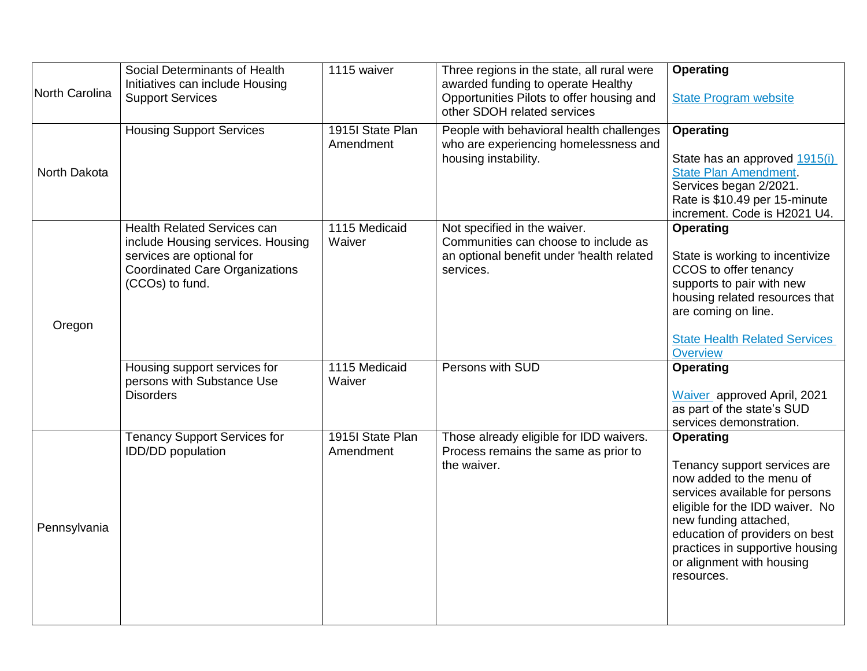| North Carolina | Social Determinants of Health<br>Initiatives can include Housing<br><b>Support Services</b>                                                                      | 1115 waiver                   | Three regions in the state, all rural were<br>awarded funding to operate Healthy<br>Opportunities Pilots to offer housing and<br>other SDOH related services | <b>Operating</b><br><b>State Program website</b>                                                                                                                                                                                                                                           |
|----------------|------------------------------------------------------------------------------------------------------------------------------------------------------------------|-------------------------------|--------------------------------------------------------------------------------------------------------------------------------------------------------------|--------------------------------------------------------------------------------------------------------------------------------------------------------------------------------------------------------------------------------------------------------------------------------------------|
| North Dakota   | <b>Housing Support Services</b>                                                                                                                                  | 1915I State Plan<br>Amendment | People with behavioral health challenges<br>who are experiencing homelessness and<br>housing instability.                                                    | <b>Operating</b><br>State has an approved 1915(i)<br><b>State Plan Amendment.</b><br>Services began 2/2021.<br>Rate is \$10.49 per 15-minute<br>increment. Code is H2021 U4.                                                                                                               |
| Oregon         | <b>Health Related Services can</b><br>include Housing services. Housing<br>services are optional for<br><b>Coordinated Care Organizations</b><br>(CCOs) to fund. | 1115 Medicaid<br>Waiver       | Not specified in the waiver.<br>Communities can choose to include as<br>an optional benefit under 'health related<br>services.                               | <b>Operating</b><br>State is working to incentivize<br>CCOS to offer tenancy<br>supports to pair with new<br>housing related resources that<br>are coming on line.<br><b>State Health Related Services</b><br>Overview                                                                     |
|                | Housing support services for<br>persons with Substance Use<br><b>Disorders</b>                                                                                   | 1115 Medicaid<br>Waiver       | Persons with SUD                                                                                                                                             | <b>Operating</b><br>Waiver approved April, 2021<br>as part of the state's SUD<br>services demonstration.                                                                                                                                                                                   |
| Pennsylvania   | <b>Tenancy Support Services for</b><br>IDD/DD population                                                                                                         | 1915I State Plan<br>Amendment | Those already eligible for IDD waivers.<br>Process remains the same as prior to<br>the waiver.                                                               | <b>Operating</b><br>Tenancy support services are<br>now added to the menu of<br>services available for persons<br>eligible for the IDD waiver. No<br>new funding attached,<br>education of providers on best<br>practices in supportive housing<br>or alignment with housing<br>resources. |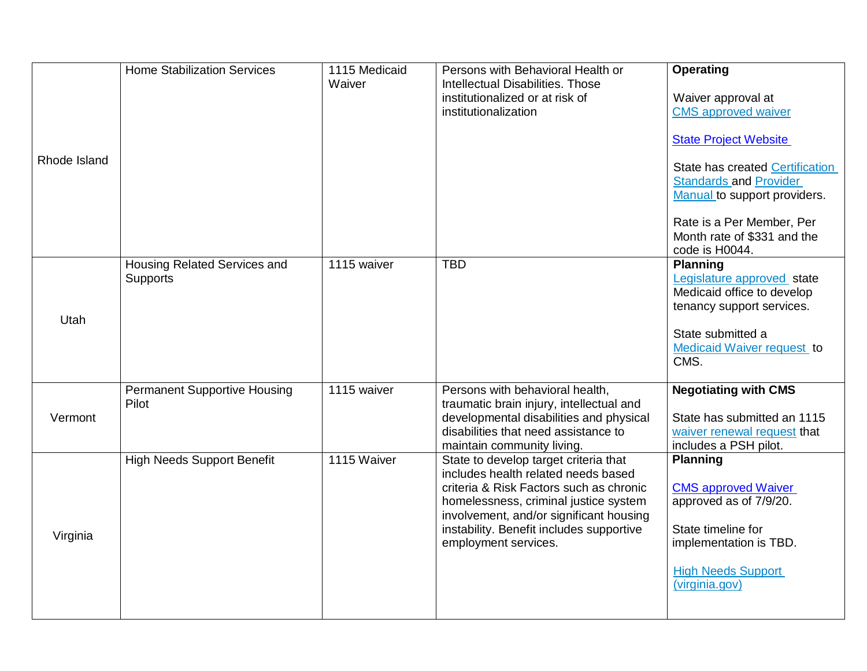| Rhode Island | <b>Home Stabilization Services</b>              | 1115 Medicaid<br>Waiver | Persons with Behavioral Health or<br>Intellectual Disabilities. Those<br>institutionalized or at risk of<br>institutionalization                                                                                                                                                | <b>Operating</b><br>Waiver approval at<br><b>CMS</b> approved waiver<br><b>State Project Website</b><br><b>State has created Certification</b><br><b>Standards and Provider</b><br>Manual to support providers.<br>Rate is a Per Member, Per<br>Month rate of \$331 and the<br>code is H0044. |
|--------------|-------------------------------------------------|-------------------------|---------------------------------------------------------------------------------------------------------------------------------------------------------------------------------------------------------------------------------------------------------------------------------|-----------------------------------------------------------------------------------------------------------------------------------------------------------------------------------------------------------------------------------------------------------------------------------------------|
| Utah         | Housing Related Services and<br><b>Supports</b> | 1115 waiver             | <b>TBD</b>                                                                                                                                                                                                                                                                      | <b>Planning</b><br>Legislature approved state<br>Medicaid office to develop<br>tenancy support services.<br>State submitted a<br>Medicaid Waiver request to<br>CMS.                                                                                                                           |
| Vermont      | <b>Permanent Supportive Housing</b><br>Pilot    | 1115 waiver             | Persons with behavioral health,<br>traumatic brain injury, intellectual and<br>developmental disabilities and physical<br>disabilities that need assistance to<br>maintain community living.                                                                                    | <b>Negotiating with CMS</b><br>State has submitted an 1115<br>waiver renewal request that<br>includes a PSH pilot.                                                                                                                                                                            |
| Virginia     | <b>High Needs Support Benefit</b>               | 1115 Waiver             | State to develop target criteria that<br>includes health related needs based<br>criteria & Risk Factors such as chronic<br>homelessness, criminal justice system<br>involvement, and/or significant housing<br>instability. Benefit includes supportive<br>employment services. | <b>Planning</b><br><b>CMS</b> approved Waiver<br>approved as of 7/9/20.<br>State timeline for<br>implementation is TBD.<br><b>High Needs Support</b><br>(virginia.gov)                                                                                                                        |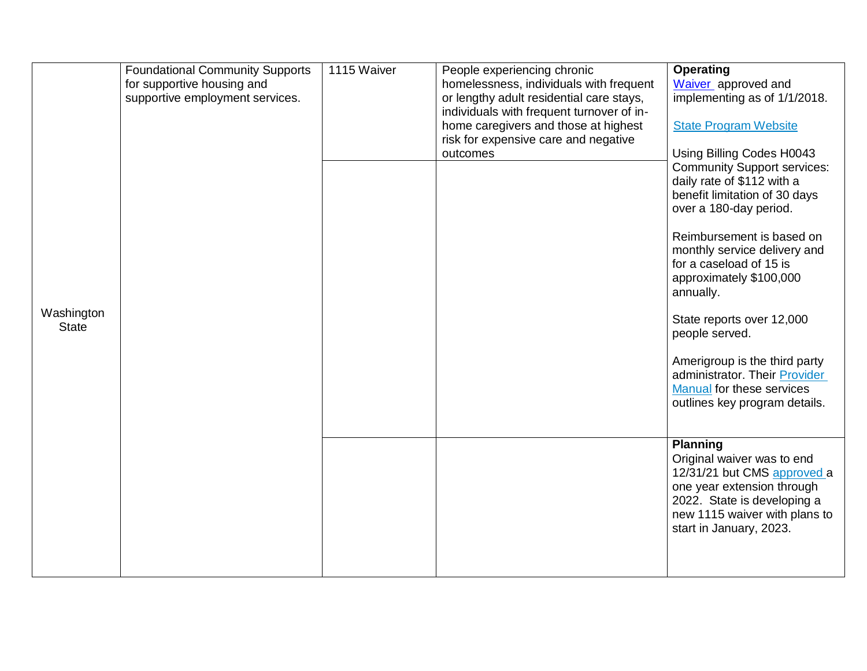| Washington<br><b>State</b> | <b>Foundational Community Supports</b><br>for supportive housing and<br>supportive employment services. | 1115 Waiver | People experiencing chronic<br>homelessness, individuals with frequent<br>or lengthy adult residential care stays,<br>individuals with frequent turnover of in-<br>home caregivers and those at highest<br>risk for expensive care and negative<br>outcomes | <b>Operating</b><br>Waiver approved and<br>implementing as of 1/1/2018.<br><b>State Program Website</b><br>Using Billing Codes H0043<br><b>Community Support services:</b><br>daily rate of \$112 with a<br>benefit limitation of 30 days<br>over a 180-day period.<br>Reimbursement is based on<br>monthly service delivery and<br>for a caseload of 15 is<br>approximately \$100,000<br>annually.<br>State reports over 12,000<br>people served.<br>Amerigroup is the third party<br>administrator. Their Provider<br>Manual for these services<br>outlines key program details. |
|----------------------------|---------------------------------------------------------------------------------------------------------|-------------|-------------------------------------------------------------------------------------------------------------------------------------------------------------------------------------------------------------------------------------------------------------|------------------------------------------------------------------------------------------------------------------------------------------------------------------------------------------------------------------------------------------------------------------------------------------------------------------------------------------------------------------------------------------------------------------------------------------------------------------------------------------------------------------------------------------------------------------------------------|
|                            |                                                                                                         |             |                                                                                                                                                                                                                                                             | <b>Planning</b><br>Original waiver was to end<br>12/31/21 but CMS approved a<br>one year extension through<br>2022. State is developing a<br>new 1115 waiver with plans to<br>start in January, 2023.                                                                                                                                                                                                                                                                                                                                                                              |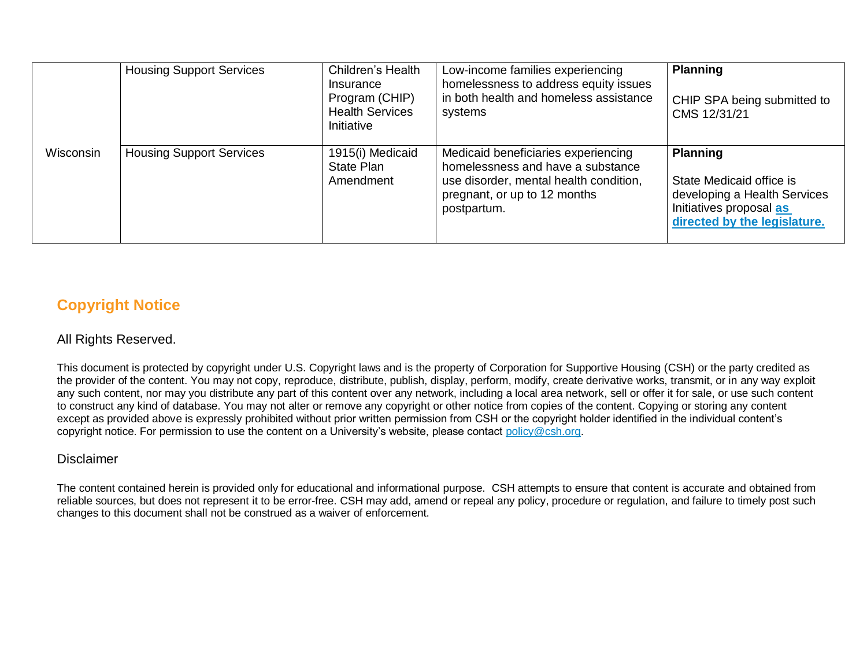|                  | <b>Housing Support Services</b> | Children's Health<br>Insurance<br>Program (CHIP)<br><b>Health Services</b><br>Initiative | Low-income families experiencing<br>homelessness to address equity issues<br>in both health and homeless assistance<br>systems                                    | <b>Planning</b><br>CHIP SPA being submitted to<br>CMS 12/31/21                                                                         |
|------------------|---------------------------------|------------------------------------------------------------------------------------------|-------------------------------------------------------------------------------------------------------------------------------------------------------------------|----------------------------------------------------------------------------------------------------------------------------------------|
| <b>Wisconsin</b> | <b>Housing Support Services</b> | 1915(i) Medicaid<br>State Plan<br>Amendment                                              | Medicaid beneficiaries experiencing<br>homelessness and have a substance<br>use disorder, mental health condition,<br>pregnant, or up to 12 months<br>postpartum. | <b>Planning</b><br>State Medicaid office is<br>developing a Health Services<br>Initiatives proposal as<br>directed by the legislature. |

## **Copyright Notice**

#### All Rights Reserved.

This document is protected by copyright under U.S. Copyright laws and is the property of Corporation for Supportive Housing (CSH) or the party credited as the provider of the content. You may not copy, reproduce, distribute, publish, display, perform, modify, create derivative works, transmit, or in any way exploit any such content, nor may you distribute any part of this content over any network, including a local area network, sell or offer it for sale, or use such content to construct any kind of database. You may not alter or remove any copyright or other notice from copies of the content. Copying or storing any content except as provided above is expressly prohibited without prior written permission from CSH or the copyright holder identified in the individual content's copyright notice. For permission to use the content on a University's website, please contac[t policy@csh.org.](mailto:policy@csh.org)

#### Disclaimer

The content contained herein is provided only for educational and informational purpose. CSH attempts to ensure that content is accurate and obtained from reliable sources, but does not represent it to be error-free. CSH may add, amend or repeal any policy, procedure or regulation, and failure to timely post such changes to this document shall not be construed as a waiver of enforcement.